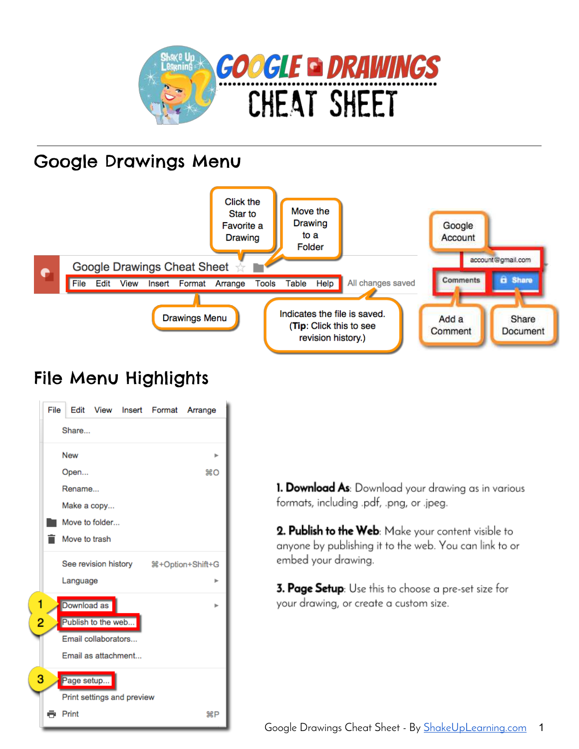

#### Google Drawings Menu



#### File Menu Highlights

|   | File   |                    |                     |                            | Edit View Insert Format Arrange |              |  |  |  |
|---|--------|--------------------|---------------------|----------------------------|---------------------------------|--------------|--|--|--|
|   |        | Share              |                     |                            |                                 |              |  |  |  |
|   | New    |                    |                     |                            |                                 |              |  |  |  |
|   | Open   |                    |                     |                            | $^{12}$ C                       |              |  |  |  |
|   | Rename |                    |                     |                            |                                 |              |  |  |  |
|   |        | Make a copy        |                     |                            |                                 |              |  |  |  |
|   |        |                    | Move to folder      |                            |                                 |              |  |  |  |
|   |        | Move to trash      |                     |                            |                                 |              |  |  |  |
|   |        |                    |                     |                            |                                 |              |  |  |  |
|   |        | Language           |                     |                            |                                 | ь            |  |  |  |
|   |        | Download as        |                     |                            |                                 |              |  |  |  |
| 2 |        | Publish to the web |                     |                            |                                 |              |  |  |  |
|   |        |                    | Email collaborators |                            |                                 |              |  |  |  |
|   |        |                    | Email as attachment |                            |                                 |              |  |  |  |
| 3 |        | Page setup         |                     |                            |                                 |              |  |  |  |
|   |        |                    |                     | Print settings and preview |                                 |              |  |  |  |
|   |        | Print              |                     |                            |                                 | $_{\rm{MP}}$ |  |  |  |

1. Download As: Download your drawing as in various formats, including .pdf, .png, or .jpeg.

2. Publish to the Web: Make your content visible to anyone by publishing it to the web. You can link to or embed your drawing.

3. Page Setup: Use this to choose a pre-set size for your drawing, or create a custom size.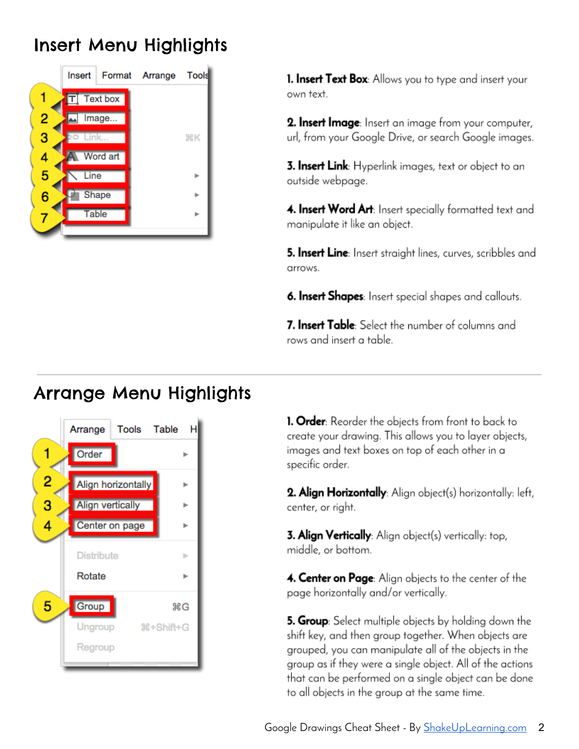## **Insert Menu Highlights**



**1. Insert Text Box:** Allows you to type and insert your own text.

2. Insert Image: Insert an image from your computer, url, from your Google Drive, or search Google images.

3. Insert Link: Hyperlink images, text or object to an outside webpage.

4. Insert Word Art: Insert specially formatted text and manipulate it like an object.

5. Insert Line: Insert straight lines, curves, scribbles and arrows.

6. Insert Shapes: Insert special shapes and callouts.

7. Insert Table: Select the number of columns and rows and insert a table.

#### **Arrange Menu Highlights**



1. Order: Reorder the objects from front to back to create your drawing. This allows you to layer objects, images and text boxes on top of each other in a specific order.

2. Align Horizontally: Align object(s) horizontally: left, center, or right.

**3. Align Vertically**: Align object(s) vertically: top, middle, or bottom.

4. Center on Page: Alian objects to the center of the page horizontally and/or vertically.

5. Group: Select multiple objects by holding down the shift key, and then group together. When objects are grouped, you can manipulate all of the objects in the group as if they were a single object. All of the actions that can be performed on a single object can be done to all objects in the group at the same time.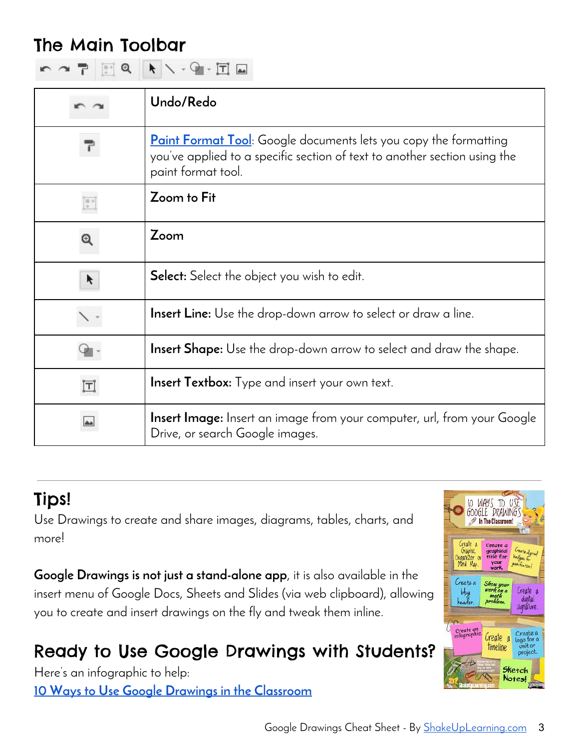#### The Main Toolbar

| MATER KV-G-HA |  |  |  |  |  |  |  |  |  |
|---------------|--|--|--|--|--|--|--|--|--|
|---------------|--|--|--|--|--|--|--|--|--|

|                   | Undo/Redo                                                                                                                                                                   |
|-------------------|-----------------------------------------------------------------------------------------------------------------------------------------------------------------------------|
|                   | <b>Paint Format Tool</b> : Google documents lets you copy the formatting<br>you've applied to a specific section of text to another section using the<br>paint format tool. |
|                   | Zoom to Fit                                                                                                                                                                 |
|                   | Zoom                                                                                                                                                                        |
| K                 | <b>Select:</b> Select the object you wish to edit.                                                                                                                          |
|                   | <b>Insert Line:</b> Use the drop-down arrow to select or draw a line.                                                                                                       |
|                   | <b>Insert Shape:</b> Use the drop-down arrow to select and draw the shape.                                                                                                  |
| $\bm{\mathsf{T}}$ | <b>Insert Textbox:</b> Type and insert your own text.                                                                                                                       |
|                   | <b>Insert Image:</b> Insert an image from your computer, url, from your Google<br>Drive, or search Google images.                                                           |

## Tips!

Use Drawings to create and share images, diagrams, tables, charts, and more!

**Google Drawings is not just a stand-alone app**, it is also available in the insert menu of Google Docs, Sheets and Slides (via web clipboard), allowing you to create and insert drawings on the fly and tweak them inline.

# Ready to Use Google Drawings with Students?

Here's an infographic to help: **10 Ways to Use Google Drawings in the Classroom**